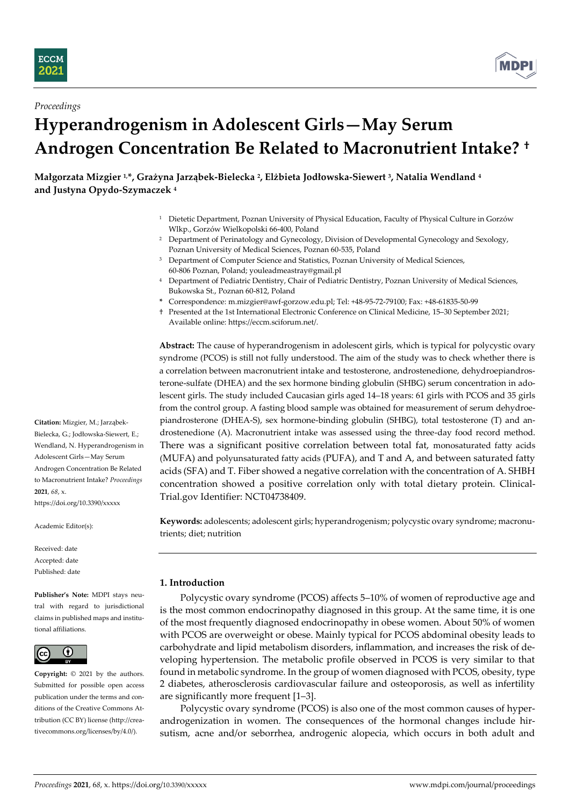



# *Proceedings* **Hyperandrogenism in Adolescent Girls—May Serum Androgen Concentration Be Related to Macronutrient Intake? †**

**Małgorzata Mizgier 1,\*, Grażyna Jarząbek-Bielecka <sup>2</sup> , Elżbieta Jodłowska-Siewert <sup>3</sup> , Natalia Wendland <sup>4</sup> and Justyna Opydo-Szymaczek <sup>4</sup>**

- <sup>1</sup> Dietetic Department, Poznan University of Physical Education, Faculty of Physical Culture in Gorzów Wlkp., Gorzów Wielkopolski 66-400, Poland
- <sup>2</sup> Department of Perinatology and Gynecology, Division of Developmental Gynecology and Sexology, Poznan University of Medical Sciences, Poznan 60-535, Poland
- <sup>3</sup> Department of Computer Science and Statistics, Poznan University of Medical Sciences, 60-806 Poznan, Poland; youleadmeastray@gmail.pl
- <sup>4</sup> Department of Pediatric Dentistry, Chair of Pediatric Dentistry, Poznan University of Medical Sciences, Bukowska St., Poznan 60-812, Poland
- **\*** Correspondence: m.mizgier@awf-gorzow.edu.pl; Tel: +48-95-72-79100; Fax: +48-61835-50-99
- † Presented at the 1st International Electronic Conference on Clinical Medicine, 15–30 September 2021; Available online: https://eccm.sciforum.net/.

**Abstract:** The cause of hyperandrogenism in adolescent girls, which is typical for polycystic ovary syndrome (PCOS) is still not fully understood. The aim of the study was to check whether there is a correlation between macronutrient intake and testosterone, androstenedione, dehydroepiandrosterone-sulfate (DHEA) and the sex hormone binding globulin (SHBG) serum concentration in adolescent girls. The study included Caucasian girls aged 14–18 years: 61 girls with PCOS and 35 girls from the control group. A fasting blood sample was obtained for measurement of serum dehydroepiandrosterone (DHEA-S), sex hormone-binding globulin (SHBG), total testosterone (T) and androstenedione (A). Macronutrient intake was assessed using the three-day food record method. There was a significant positive correlation between total fat, monosaturated fatty acids (MUFA) and polyunsaturated fatty acids (PUFA), and T and A, and between saturated fatty acids (SFA) and T. Fiber showed a negative correlation with the concentration of A. SHBH concentration showed a positive correlation only with total dietary protein. Clinical-Trial.gov Identifier: NCT04738409.

**Keywords:** adolescents; adolescent girls; hyperandrogenism; polycystic ovary syndrome; macronutrients; diet; nutrition

## **1. Introduction**

Polycystic ovary syndrome (PCOS) affects 5–10% of women of reproductive age and is the most common endocrinopathy diagnosed in this group. At the same time, it is one of the most frequently diagnosed endocrinopathy in obese women. About 50% of women with PCOS are overweight or obese. Mainly typical for PCOS abdominal obesity leads to carbohydrate and lipid metabolism disorders, inflammation, and increases the risk of developing hypertension. The metabolic profile observed in PCOS is very similar to that found in metabolic syndrome. In the group of women diagnosed with PCOS, obesity, type 2 diabetes, atherosclerosis cardiovascular failure and osteoporosis, as well as infertility are significantly more frequent [1–3].

Polycystic ovary syndrome (PCOS) is also one of the most common causes of hyperandrogenization in women. The consequences of the hormonal changes include hirsutism, acne and/or seborrhea, androgenic alopecia, which occurs in both adult and

**Citation:** Mizgier, M.; Jarząbek-Bielecka, G.; Jodłowska-Siewert, E.; Wendland, N. Hyperandrogenism in Adolescent Girls—May Serum Androgen Concentration Be Related to Macronutrient Intake? *Proceedings* **2021**, *68*, x. https://doi.org/10.3390/xxxxx

Academic Editor(s):

Received: date Accepted: date Published: date

**Publisher's Note:** MDPI stays neutral with regard to jurisdictional claims in published maps and institutional affiliations.



**Copyright:** © 2021 by the authors. Submitted for possible open access publication under the terms and conditions of the Creative Commons Attribution (CC BY) license (http://creativecommons.org/licenses/by/4.0/).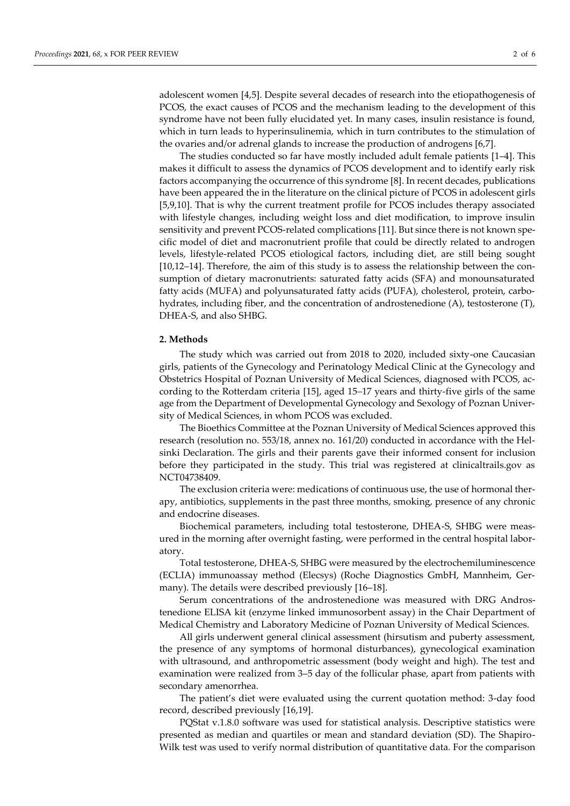adolescent women [4,5]. Despite several decades of research into the etiopathogenesis of PCOS, the exact causes of PCOS and the mechanism leading to the development of this syndrome have not been fully elucidated yet. In many cases, insulin resistance is found, which in turn leads to hyperinsulinemia, which in turn contributes to the stimulation of the ovaries and/or adrenal glands to increase the production of androgens [6,7].

The studies conducted so far have mostly included adult female patients [1–4]. This makes it difficult to assess the dynamics of PCOS development and to identify early risk factors accompanying the occurrence of this syndrome [8]. In recent decades, publications have been appeared the in the literature on the clinical picture of PCOS in adolescent girls [5,9,10]. That is why the current treatment profile for PCOS includes therapy associated with lifestyle changes, including weight loss and diet modification, to improve insulin sensitivity and prevent PCOS-related complications [11]. But since there is not known specific model of diet and macronutrient profile that could be directly related to androgen levels, lifestyle-related PCOS etiological factors, including diet, are still being sought [10,12–14]. Therefore, the aim of this study is to assess the relationship between the consumption of dietary macronutrients: saturated fatty acids (SFA) and monounsaturated fatty acids (MUFA) and polyunsaturated fatty acids (PUFA), cholesterol, protein, carbohydrates, including fiber, and the concentration of androstenedione (A), testosterone (T), DHEA-S, and also SHBG.

#### **2. Methods**

The study which was carried out from 2018 to 2020, included sixty-one Caucasian girls, patients of the Gynecology and Perinatology Medical Clinic at the Gynecology and Obstetrics Hospital of Poznan University of Medical Sciences, diagnosed with PCOS, according to the Rotterdam criteria [15], aged 15*–*17 years and thirty-five girls of the same age from the Department of Developmental Gynecology and Sexology of Poznan University of Medical Sciences, in whom PCOS was excluded.

The Bioethics Committee at the Poznan University of Medical Sciences approved this research (resolution no. 553/18, annex no. 161/20) conducted in accordance with the Helsinki Declaration. The girls and their parents gave their informed consent for inclusion before they participated in the study. This trial was registered at clinicaltrails.gov as NCT04738409.

The exclusion criteria were: medications of continuous use, the use of hormonal therapy, antibiotics, supplements in the past three months, smoking, presence of any chronic and endocrine diseases.

Biochemical parameters, including total testosterone, DHEA-S, SHBG were measured in the morning after overnight fasting, were performed in the central hospital laboratory.

Total testosterone, DHEA-S, SHBG were measured by the electrochemiluminescence (ECLIA) immunoassay method (Elecsys) (Roche Diagnostics GmbH, Mannheim, Germany). The details were described previously [16–18].

Serum concentrations of the androstenedione was measured with DRG Androstenedione ELISA kit (enzyme linked immunosorbent assay) in the Chair Department of Medical Chemistry and Laboratory Medicine of Poznan University of Medical Sciences.

All girls underwent general clinical assessment (hirsutism and puberty assessment, the presence of any symptoms of hormonal disturbances), gynecological examination with ultrasound, and anthropometric assessment (body weight and high). The test and examination were realized from 3–5 day of the follicular phase, apart from patients with secondary amenorrhea.

The patient's diet were evaluated using the current quotation method: 3-day food record, described previously [16,19].

PQStat v.1.8.0 software was used for statistical analysis. Descriptive statistics were presented as median and quartiles or mean and standard deviation (SD). The Shapiro-Wilk test was used to verify normal distribution of quantitative data. For the comparison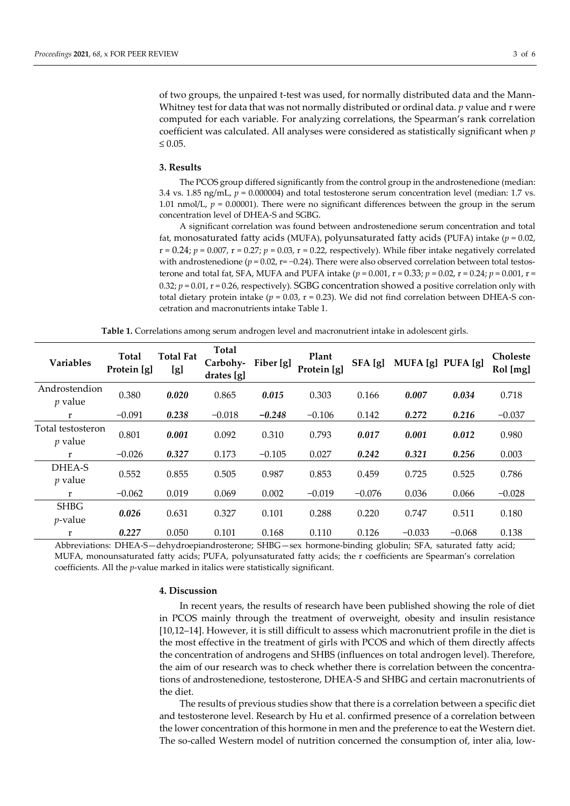of two groups, the unpaired t-test was used, for normally distributed data and the Mann-Whitney test for data that was not normally distributed or ordinal data. *p* value and r were computed for each variable. For analyzing correlations, the Spearman's rank correlation coefficient was calculated. All analyses were considered as statistically significant when *p*  $\leq 0.05$ .

#### **3. Results**

The PCOS group differed significantly from the control group in the androstenedione (median: 3.4 vs. 1.85 ng/mL, *p* = 0.000004) and total testosterone serum concentration level (median: 1.7 vs. 1.01 nmol/L,  $p = 0.00001$ ). There were no significant differences between the group in the serum concentration level of DHEA-S and SGBG.

A significant correlation was found between androstenedione serum concentration and total fat, monosaturated fatty acids (MUFA), polyunsaturated fatty acids (PUFA) intake (*p* = 0.02,  $r = 0.24$ ;  $p = 0.007$ ,  $r = 0.27$ ;  $p = 0.03$ ,  $r = 0.22$ , respectively). While fiber intake negatively correlated with androstenedione ( $p = 0.02$ ,  $r = -0.24$ ). There were also observed correlation between total testosterone and total fat, SFA, MUFA and PUFA intake  $(p = 0.001, r = 0.33; p = 0.02, r = 0.24; p = 0.001, r = 0.001$ 0.32;  $p = 0.01$ ,  $r = 0.26$ , respectively). SGBG concentration showed a positive correlation only with total dietary protein intake ( $p = 0.03$ ,  $r = 0.23$ ). We did not find correlation between DHEA-S concetration and macronutrients intake Table 1.

**Table 1.** Correlations among serum androgen level and macronutrient intake in adolescent girls.

| <b>Variables</b>                    | <b>Total</b><br>Protein [g] | <b>Total Fat</b><br>[g] | <b>Total</b><br>Carbohy-<br>drates [g] | Fiber [g] | Plant<br>Protein [g] | SFA [g]  | MUFA [g] PUFA [g] |          | <b>Choleste</b><br>Rol [mg] |
|-------------------------------------|-----------------------------|-------------------------|----------------------------------------|-----------|----------------------|----------|-------------------|----------|-----------------------------|
| Androstendion<br>$p$ value          | 0.380                       | 0.020                   | 0.865                                  | 0.015     | 0.303                | 0.166    | 0.007             | 0.034    | 0.718                       |
| r                                   | $-0.091$                    | 0.238                   | $-0.018$                               | $-0.248$  | $-0.106$             | 0.142    | 0.272             | 0.216    | $-0.037$                    |
| Total testosteron<br><i>p</i> value | 0.801                       | 0.001                   | 0.092                                  | 0.310     | 0.793                | 0.017    | 0.001             | 0.012    | 0.980                       |
| r                                   | $-0.026$                    | 0.327                   | 0.173                                  | $-0.105$  | 0.027                | 0.242    | 0.321             | 0.256    | 0.003                       |
| DHEA-S<br>$p$ value                 | 0.552                       | 0.855                   | 0.505                                  | 0.987     | 0.853                | 0.459    | 0.725             | 0.525    | 0.786                       |
| r                                   | $-0.062$                    | 0.019                   | 0.069                                  | 0.002     | $-0.019$             | $-0.076$ | 0.036             | 0.066    | $-0.028$                    |
| <b>SHBG</b><br>$p$ -value           | 0.026                       | 0.631                   | 0.327                                  | 0.101     | 0.288                | 0.220    | 0.747             | 0.511    | 0.180                       |
| r                                   | 0.227                       | 0.050                   | 0.101                                  | 0.168     | 0.110                | 0.126    | $-0.033$          | $-0.068$ | 0.138                       |

Abbreviations: DHEA-S—dehydroepiandrosterone; SHBG—sex hormone-binding globulin; SFA, saturated fatty acid; MUFA, monounsaturated fatty acids; PUFA, polyunsaturated fatty acids; the r coefficients are Spearman's correlation coefficients. All the *p*-value marked in italics were statistically significant.

#### **4. Discussion**

In recent years, the results of research have been published showing the role of diet in PCOS mainly through the treatment of overweight, obesity and insulin resistance [10,12–14]. However, it is still difficult to assess which macronutrient profile in the diet is the most effective in the treatment of girls with PCOS and which of them directly affects the concentration of androgens and SHBS (influences on total androgen level). Therefore, the aim of our research was to check whether there is correlation between the concentrations of androstenedione, testosterone, DHEA-S and SHBG and certain macronutrients of the diet.

The results of previous studies show that there is a correlation between a specific diet and testosterone level. Research by Hu et al. confirmed presence of a correlation between the lower concentration of this hormone in men and the preference to eat the Western diet. The so-called Western model of nutrition concerned the consumption of, inter alia, low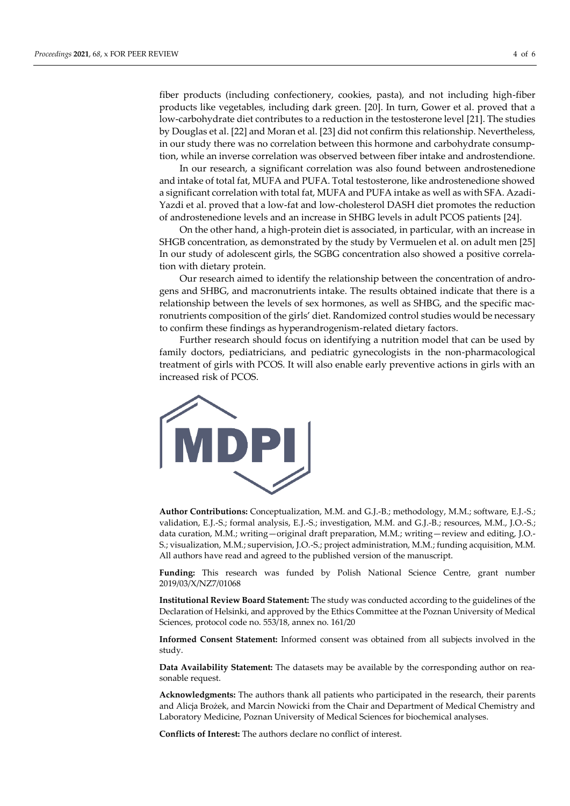fiber products (including confectionery, cookies, pasta), and not including high-fiber products like vegetables, including dark green. [20]. In turn, Gower et al. proved that a low-carbohydrate diet contributes to a reduction in the testosterone level [21]. The studies by Douglas et al. [22] and Moran et al. [23] did not confirm this relationship. Nevertheless, in our study there was no correlation between this hormone and carbohydrate consumption, while an inverse correlation was observed between fiber intake and androstendione.

In our research, a significant correlation was also found between androstenedione and intake of total fat, MUFA and PUFA. Total testosterone, like androstenedione showed a significant correlation with total fat, MUFA and PUFA intake as well as with SFA. Azadi-Yazdi et al. proved that a low-fat and low-cholesterol DASH diet promotes the reduction of androstenedione levels and an increase in SHBG levels in adult PCOS patients [24].

On the other hand, a high-protein diet is associated, in particular, with an increase in SHGB concentration, as demonstrated by the study by Vermuelen et al. on adult men [25] In our study of adolescent girls, the SGBG concentration also showed a positive correlation with dietary protein.

Our research aimed to identify the relationship between the concentration of androgens and SHBG, and macronutrients intake. The results obtained indicate that there is a relationship between the levels of sex hormones, as well as SHBG, and the specific macronutrients composition of the girls' diet. Randomized control studies would be necessary to confirm these findings as hyperandrogenism-related dietary factors.

Further research should focus on identifying a nutrition model that can be used by family doctors, pediatricians, and pediatric gynecologists in the non-pharmacological treatment of girls with PCOS. It will also enable early preventive actions in girls with an increased risk of PCOS.



**Author Contributions:** Conceptualization, M.M. and G.J.-B.; methodology, M.M.; software, E.J.-S.; validation, E.J.-S.; formal analysis, E.J.-S.; investigation, M.M. and G.J.-B.; resources, M.M., J.O.-S.; data curation, M.M.; writing—original draft preparation, M.M.; writing—review and editing, J.O.- S.; visualization, M.M.; supervision, J.O.-S.; project administration, M.M.; funding acquisition, M.M. All authors have read and agreed to the published version of the manuscript.

**Funding:** This research was funded by Polish National Science Centre, grant number 2019/03/X/NZ7/01068

**Institutional Review Board Statement:** The study was conducted according to the guidelines of the Declaration of Helsinki, and approved by the Ethics Committee at the Poznan University of Medical Sciences, protocol code no. 553/18, annex no. 161/20

**Informed Consent Statement:** Informed consent was obtained from all subjects involved in the study.

**Data Availability Statement:** The datasets may be available by the corresponding author on reasonable request.

**Acknowledgments:** The authors thank all patients who participated in the research, their parents and Alicja Brożek, and Marcin Nowicki from the Chair and Department of Medical Chemistry and Laboratory Medicine, Poznan University of Medical Sciences for biochemical analyses.

**Conflicts of Interest:** The authors declare no conflict of interest.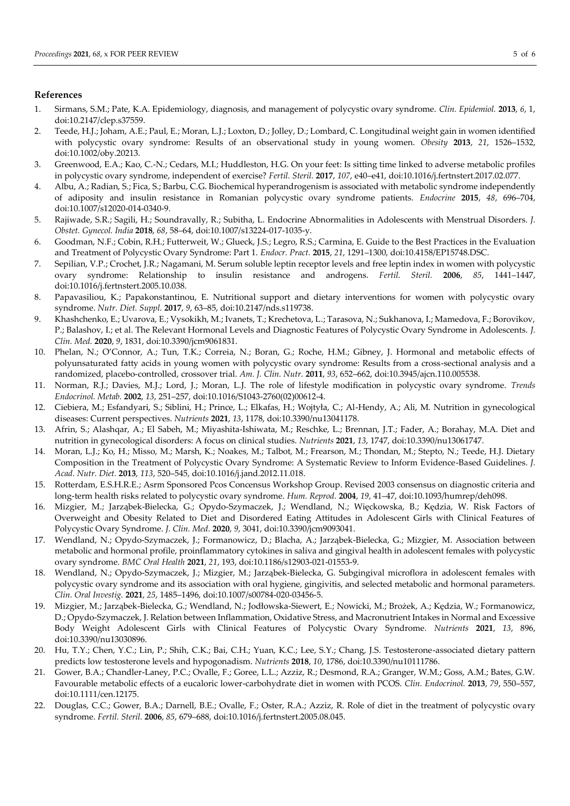### **References**

- 1. Sirmans, S.M.; Pate, K.A. Epidemiology, diagnosis, and management of polycystic ovary syndrome. *Clin. Epidemiol.* **2013**, *6*, 1, doi:10.2147/clep.s37559.
- 2. Teede, H.J.; Joham, A.E.; Paul, E.; Moran, L.J.; Loxton, D.; Jolley, D.; Lombard, C. Longitudinal weight gain in women identified with polycystic ovary syndrome: Results of an observational study in young women. *Obesity* **2013**, *21*, 1526–1532, doi:10.1002/oby.20213.
- 3. Greenwood, E.A.; Kao, C.-N.; Cedars, M.I.; Huddleston, H.G. On your feet: Is sitting time linked to adverse metabolic profiles in polycystic ovary syndrome, independent of exercise? *Fertil. Steril.* **2017**, *107*, e40–e41, doi:10.1016/j.fertnstert.2017.02.077.
- 4. Albu, A.; Radian, S.; Fica, S.; Barbu, C.G. Biochemical hyperandrogenism is associated with metabolic syndrome independently of adiposity and insulin resistance in Romanian polycystic ovary syndrome patients. *Endocrine* **2015**, *48*, 696–704, doi:10.1007/s12020-014-0340-9.
- 5. Rajiwade, S.R.; Sagili, H.; Soundravally, R.; Subitha, L. Endocrine Abnormalities in Adolescents with Menstrual Disorders. *J. Obstet. Gynecol. India* **2018**, *68*, 58–64, doi:10.1007/s13224-017-1035-y.
- 6. Goodman, N.F.; Cobin, R.H.; Futterweit, W.; Glueck, J.S.; Legro, R.S.; Carmina, E. Guide to the Best Practices in the Evaluation and Treatment of Polycystic Ovary Syndrome: Part 1. *Endocr. Pract.* **2015**, *21*, 1291–1300, doi:10.4158/EP15748.DSC.
- 7. Sepilian, V.P.; Crochet, J.R.; Nagamani, M. Serum soluble leptin receptor levels and free leptin index in women with polycystic ovary syndrome: Relationship to insulin resistance and androgens. *Fertil. Steril.* **2006**, *85*, 1441–1447, doi:10.1016/j.fertnstert.2005.10.038.
- 8. Papavasiliou, K.; Papakonstantinou, E. Nutritional support and dietary interventions for women with polycystic ovary syndrome. *Nutr. Diet. Suppl.* **2017**, *9*, 63–85, doi:10.2147/nds.s119738.
- 9. Khashchenko, E.; Uvarova, E.; Vysokikh, M.; Ivanets, T.; Krechetova, L.; Tarasova, N.; Sukhanova, I.; Mamedova, F.; Borovikov, P.; Balashov, I.; et al. The Relevant Hormonal Levels and Diagnostic Features of Polycystic Ovary Syndrome in Adolescents. *J. Clin. Med.* **2020**, *9*, 1831, doi:10.3390/jcm9061831.
- 10. Phelan, N.; O'Connor, A.; Tun, T.K.; Correia, N.; Boran, G.; Roche, H.M.; Gibney, J. Hormonal and metabolic effects of polyunsaturated fatty acids in young women with polycystic ovary syndrome: Results from a cross-sectional analysis and a randomized, placebo-controlled, crossover trial. *Am. J. Clin. Nutr.* **2011**, *93*, 652–662, doi:10.3945/ajcn.110.005538.
- 11. Norman, R.J.; Davies, M.J.; Lord, J.; Moran, L.J. The role of lifestyle modification in polycystic ovary syndrome. *Trends Endocrinol. Metab.* **2002**, *13*, 251–257, doi:10.1016/S1043-2760(02)00612-4.
- 12. Ciebiera, M.; Esfandyari, S.; Siblini, H.; Prince, L.; Elkafas, H.; Wojtyła, C.; Al-Hendy, A.; Ali, M. Nutrition in gynecological diseases: Current perspectives. *Nutrients* **2021**, *13*, 1178, doi:10.3390/nu13041178.
- 13. Afrin, S.; Alashqar, A.; El Sabeh, M.; Miyashita-Ishiwata, M.; Reschke, L.; Brennan, J.T.; Fader, A.; Borahay, M.A. Diet and nutrition in gynecological disorders: A focus on clinical studies. *Nutrients* **2021**, *13*, 1747, doi:10.3390/nu13061747.
- 14. Moran, L.J.; Ko, H.; Misso, M.; Marsh, K.; Noakes, M.; Talbot, M.; Frearson, M.; Thondan, M.; Stepto, N.; Teede, H.J. Dietary Composition in the Treatment of Polycystic Ovary Syndrome: A Systematic Review to Inform Evidence-Based Guidelines. *J. Acad. Nutr. Diet.* **2013**, *113*, 520–545, doi:10.1016/j.jand.2012.11.018.
- 15. Rotterdam, E.S.H.R.E.; Asrm Sponsored Pcos Concensus Workshop Group. Revised 2003 consensus on diagnostic criteria and long-term health risks related to polycystic ovary syndrome. *Hum. Reprod.* **2004**, *19*, 41–47, doi:10.1093/humrep/deh098.
- 16. Mizgier, M.; Jarząbek-Bielecka, G.; Opydo-Szymaczek, J.; Wendland, N.; Więckowska, B.; Kędzia, W. Risk Factors of Overweight and Obesity Related to Diet and Disordered Eating Attitudes in Adolescent Girls with Clinical Features of Polycystic Ovary Syndrome. *J. Clin. Med.* **2020**, *9*, 3041, doi:10.3390/jcm9093041.
- 17. Wendland, N.; Opydo-Szymaczek, J.; Formanowicz, D.; Blacha, A.; Jarząbek-Bielecka, G.; Mizgier, M. Association between metabolic and hormonal profile, proinflammatory cytokines in saliva and gingival health in adolescent females with polycystic ovary syndrome. *BMC Oral Health* **2021**, *21*, 193, doi:10.1186/s12903-021-01553-9.
- 18. Wendland, N.; Opydo-Szymaczek, J.; Mizgier, M.; Jarząbek-Bielecka, G. Subgingival microflora in adolescent females with polycystic ovary syndrome and its association with oral hygiene, gingivitis, and selected metabolic and hormonal parameters. *Clin. Oral Investig.* **2021**, *25*, 1485–1496, doi:10.1007/s00784-020-03456-5.
- 19. Mizgier, M.; Jarząbek-Bielecka, G.; Wendland, N.; Jodłowska-Siewert, E.; Nowicki, M.; Brożek, A.; Kędzia, W.; Formanowicz, D.; Opydo-Szymaczek, J. Relation between Inflammation, Oxidative Stress, and Macronutrient Intakes in Normal and Excessive Body Weight Adolescent Girls with Clinical Features of Polycystic Ovary Syndrome. *Nutrients* **2021**, *13*, 896, doi:10.3390/nu13030896.
- 20. Hu, T.Y.; Chen, Y.C.; Lin, P.; Shih, C.K.; Bai, C.H.; Yuan, K.C.; Lee, S.Y.; Chang, J.S. Testosterone-associated dietary pattern predicts low testosterone levels and hypogonadism. *Nutrients* **2018**, *10*, 1786, doi:10.3390/nu10111786.
- 21. Gower, B.A.; Chandler-Laney, P.C.; Ovalle, F.; Goree, L.L.; Azziz, R.; Desmond, R.A.; Granger, W.M.; Goss, A.M.; Bates, G.W. Favourable metabolic effects of a eucaloric lower-carbohydrate diet in women with PCOS. *Clin. Endocrinol.* **2013**, *79*, 550–557, doi:10.1111/cen.12175.
- 22. Douglas, C.C.; Gower, B.A.; Darnell, B.E.; Ovalle, F.; Oster, R.A.; Azziz, R. Role of diet in the treatment of polycystic ovary syndrome. *Fertil. Steril.* **2006**, *85*, 679–688, doi:10.1016/j.fertnstert.2005.08.045.